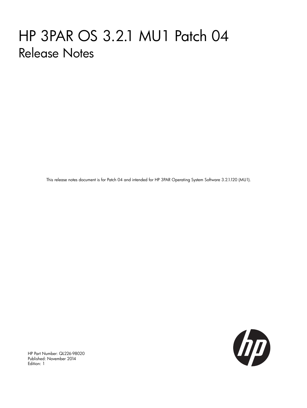# HP 3PAR OS 3.2.1 MU1 Patch 04 Release Notes

This release notes document is for Patch 04 and intended for HP 3PAR Operating System Software 3.2.1.120 (MU1).



HP Part Number: QL226-98020 Published: November 2014 Edition: 1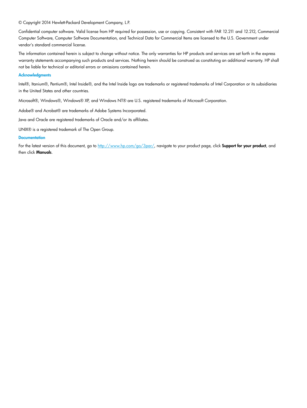© Copyright 2014 Hewlett-Packard Development Company, L.P.

Confidential computer software. Valid license from HP required for possession, use or copying. Consistent with FAR 12.211 and 12.212, Commercial Computer Software, Computer Software Documentation, and Technical Data for Commercial Items are licensed to the U.S. Government under vendor's standard commercial license.

The information contained herein is subject to change without notice. The only warranties for HP products and services are set forth in the express warranty statements accompanying such products and services. Nothing herein should be construed as constituting an additional warranty. HP shall not be liable for technical or editorial errors or omissions contained herein.

#### **Acknowledgments**

Intel®, Itanium®, Pentium®, Intel Inside®, and the Intel Inside logo are trademarks or registered trademarks of Intel Corporation or its subsidiaries in the United States and other countries.

Microsoft®, Windows®, Windows® XP, and Windows NT® are U.S. registered trademarks of Microsoft Corporation.

Adobe® and Acrobat® are trademarks of Adobe Systems Incorporated.

Java and Oracle are registered trademarks of Oracle and/or its affiliates.

UNIX® is a registered trademark of The Open Group.

#### **Documentation**

For the latest version of this document, go to [http://www.hp.com/go/3par/,](http://www.hp.com/go/3par/) navigate to your product page, click Support for your product, and then click Manuals.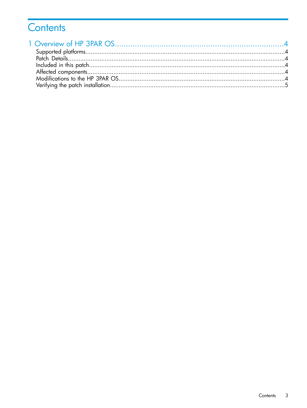# Contents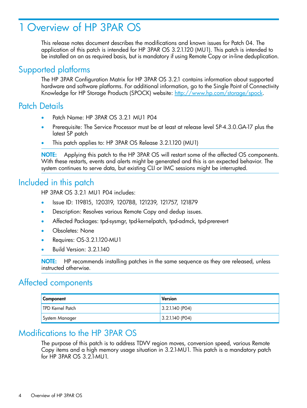# <span id="page-3-0"></span>1 Overview of HP 3PAR OS

<span id="page-3-1"></span>This release notes document describes the modifications and known issues for Patch 04. The application of this patch is intended for HP 3PAR OS 3.2.1.120 (MU1). This patch is intended to be installed on an as required basis, but is mandatory if using Remote Copy or in-line deduplication.

#### Supported platforms

<span id="page-3-2"></span>The HP 3PAR Configuration Matrix for HP 3PAR OS 3.2.1 contains information about supported hardware and software platforms. For additional information, go to the Single Point of Connectivity Knowledge for HP Storage Products (SPOCK) website: [http://www.hp.com/storage/spock.](http://www.hp.com/storage/spock)

#### Patch Details

- Patch Name: HP 3PAR OS 3.2.1 MU1 P04
- Prerequisite: The Service Processor must be at least at release level SP-4.3.0.GA-17 plus the latest SP patch
- This patch applies to: HP 3PAR OS Release 3.2.1.120 (MU1)

<span id="page-3-3"></span>NOTE: Applying this patch to the HP 3PAR OS will restart some of the affected OS components. With these restarts, events and alerts might be generated and this is an expected behavior. The system continues to serve data, but existing CLI or IMC sessions might be interrupted.

### Included in this patch

HP 3PAR OS 3.2.1 MU1 P04 includes:

- Issue ID: 119815, 120319, 120788, 121239, 121757, 121879
- Description: Resolves various Remote Copy and dedup issues.
- Affected Packages: tpd-sysmgr, tpd-kernelpatch, tpd-admck, tpd-prerevert
- Obsoletes: None
- Requires: OS-3.2.1.120-MU1
- <span id="page-3-4"></span>• Build Version: 3.2.1.140

NOTE: HP recommends installing patches in the same sequence as they are released, unless instructed otherwise.

### Affected components

<span id="page-3-5"></span>

| Component               | Version           |
|-------------------------|-------------------|
| <b>TPD Kernel Patch</b> | $3.2.1.140$ (PO4) |
| System Manager          | $3.2.1.140$ (PO4) |

#### Modifications to the HP 3PAR OS

The purpose of this patch is to address TDVV region moves, conversion speed, various Remote Copy items and a high memory usage situation in 3.2.1-MU1. This patch is a mandatory patch for HP 3PAR OS 3.2.1-MU1.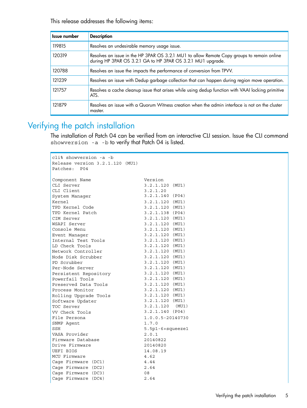This release addresses the following items:

| Issue number | <b>Description</b>                                                                                                                                        |
|--------------|-----------------------------------------------------------------------------------------------------------------------------------------------------------|
| 119815       | Resolves an undesirable memory usage issue.                                                                                                               |
| 120319       | Resolves an issue in the HP 3PAR OS 3.2.1 MU1 to allow Remote Copy groups to remain online<br>during HP 3PAR OS 3.2.1 GA to HP 3PAR OS 3.2.1 MU1 upgrade. |
| 120788       | Resolves an issue the impacts the performance of conversion from TPVV.                                                                                    |
| 121239       | Resolves an issue with Dedup garbage collection that can happen during region move operation.                                                             |
| 121757       | Resolves a cache cleanup issue that arises while using dedup function with VAAI locking primitive<br>ATS.                                                 |
| 121879       | Resolves an issue with a Quorum Witness creation when the admin interface is not on the cluster<br>master.                                                |

## <span id="page-4-0"></span>Verifying the patch installation

The installation of Patch 04 can be verified from an interactive CLI session. Issue the CLI command showversion -a -b to verify that Patch 04 is listed.

| cli% showversion -a -b             |                    |
|------------------------------------|--------------------|
| Release version 3.2.1.120 (MU1)    |                    |
| Patches: P04                       |                    |
|                                    |                    |
| Component Name                     | Version            |
| CLI Server                         | $3.2.1.120$ (MU1)  |
| CLI Client                         | 3.2.1.20           |
| System Manager                     | $3.2.1.140$ (P04)  |
| Kernel                             | 3.2.1.120 (MU1)    |
| TPD Kernel Code                    | $3.2.1.120$ (MU1)  |
| TPD Kernel Patch                   | $3.2.1.138$ (P04)  |
| CIM Server                         | 3.2.1.120 (MU1)    |
| WSAPI Server                       | $3.2.1.120$ (MU1)  |
| Console Menu                       | 3.2.1.120 (MU1)    |
| Event Manager                      | 3.2.1.120 (MU1)    |
| Internal Test Tools                | 3.2.1.120 (MU1)    |
| LD Check Tools                     | $3.2.1.120$ (MU1)  |
| Network Controller                 | $3.2.1.120$ (MU1)  |
| Node Disk Scrubber                 | 3.2.1.120 (MU1)    |
| PD Scrubber                        | $3.2.1.120$ (MU1)  |
| Per-Node Server                    | 3.2.1.120 (MU1)    |
| Persistent Repository              | $3.2.1.120$ (MU1)  |
| Powerfail Tools                    | 3.2.1.120 (MU1)    |
| Preserved Data Tools               | $3.2.1.120$ (MU1)  |
| Process Monitor                    | $3.2.1.120$ (MU1)  |
| Rolling Upgrade Tools              | $3.2.1.120$ (MU1)  |
| Software Updater                   | $3.2.1.120$ (MU1)  |
| TOC Server                         | $3.2.1.120$ (MU1)  |
| VV Check Tools                     | $3.2.1.140$ (P04)  |
| File Persona                       | 1.0.0.5-20140730   |
| SNMP Agent                         | 1.7.0              |
| SSH                                | $5.5p1-6+square21$ |
| VASA Provider<br>Firmware Database | 2.0.1              |
| Drive Firmware                     | 20140822           |
| UEFI BIOS                          | 20140820           |
| MCU Firmware                       | 14.08.19<br>4.62   |
| Cage Firmware (DC1)                | 4.44               |
| Cage Firmware (DC2)                | 2.64               |
| Cage Firmware (DC3)                | 08                 |
| Cage Firmware (DC4)                | 2.64               |
|                                    |                    |